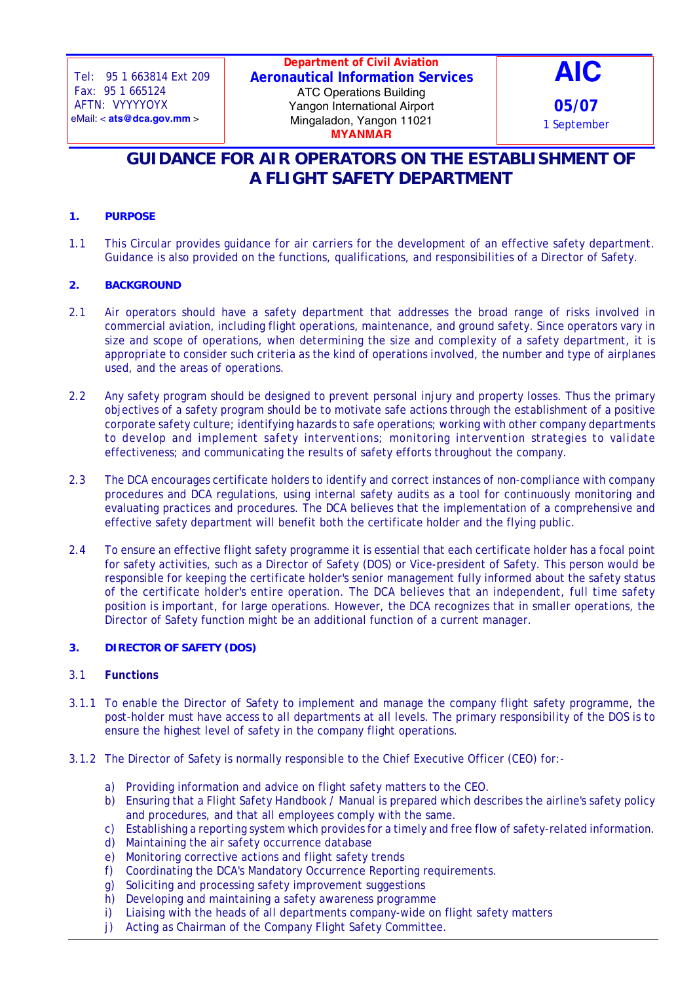**Department of Civil Aviation Aeronautical Information Services** ATC Operations Building Yangon International Airport Mingaladon, Yangon 11021 **MYANMAR**



# **GUIDANCE FOR AIR OPERATORS ON THE ESTABLISHMENT OF A FLIGHT SAFETY DEPARTMENT**

## **1. PURPOSE**

1.1 This Circular provides guidance for air carriers for the development of an effective safety department. Guidance is also provided on the functions, qualifications, and responsibilities of a Director of Safety.

### **2. BACKGROUND**

- 2.1 Air operators should have a safety department that addresses the broad range of risks involved in commercial aviation, including flight operations, maintenance, and ground safety. Since operators vary in size and scope of operations, when determining the size and complexity of a safety department, it is appropriate to consider such criteria as the kind of operations involved, the number and type of airplanes used, and the areas of operations.
- 2.2 Any safety program should be designed to prevent personal injury and property losses. Thus the primary objectives of a safety program should be to motivate safe actions through the establishment of a positive corporate safety culture; identifying hazards to safe operations; working with other company departments to develop and implement safety interventions; monitoring intervention strategies to validate effectiveness; and communicating the results of safety efforts throughout the company.
- 2.3 The DCA encourages certificate holders to identify and correct instances of non-compliance with company procedures and DCA regulations, using internal safety audits as a tool for continuously monitoring and evaluating practices and procedures. The DCA believes that the implementation of a comprehensive and effective safety department will benefit both the certificate holder and the flying public.
- 2.4 To ensure an effective flight safety programme it is essential that each certificate holder has a focal point for safety activities, such as a Director of Safety (DOS) or Vice-president of Safety. This person would be responsible for keeping the certificate holder's senior management fully informed about the safety status of the certificate holder's entire operation. The DCA believes that an independent, full time safety position is important, for large operations. However, the DCA recognizes that in smaller operations, the Director of Safety function might be an additional function of a current manager.

#### **3. DIRECTOR OF SAFETY (DOS)**

#### 3.1 **Functions**

- 3.1.1 To enable the Director of Safety to implement and manage the company flight safety programme, the post-holder must have access to all departments at all levels. The primary responsibility of the DOS is to ensure the highest level of safety in the company flight operations.
- 3.1.2 The Director of Safety is normally responsible to the Chief Executive Officer (CEO) for:
	- a) Providing information and advice on flight safety matters to the CEO.
	- b) Ensuring that a Flight Safety Handbook / Manual is prepared which describes the airline's safety policy and procedures, and that all employees comply with the same.
	- c) Establishing a reporting system which provides for a timely and free flow of safety-related information.
	- d) Maintaining the air safety occurrence database
	- e) Monitoring corrective actions and flight safety trends
	- f) Coordinating the DCA's Mandatory Occurrence Reporting requirements.
	- g) Soliciting and processing safety improvement suggestions
	- h) Developing and maintaining a safety awareness programme
	- i) Liaising with the heads of all departments company-wide on flight safety matters
	- j) Acting as Chairman of the Company Flight Safety Committee.